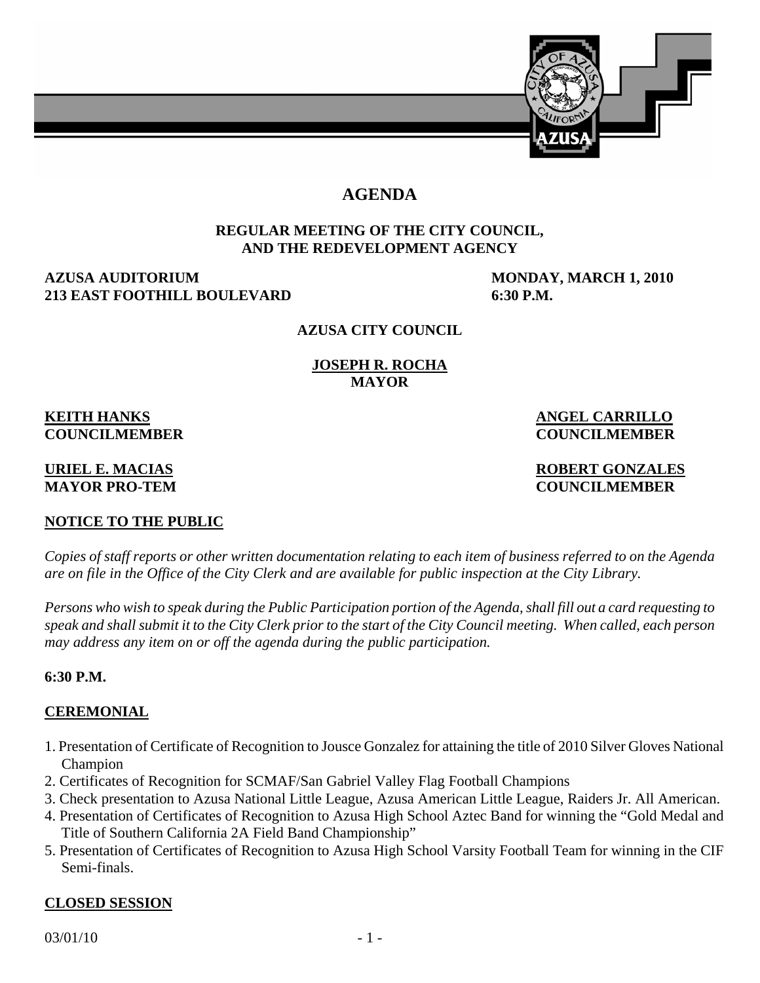

# **AGENDA**

# **REGULAR MEETING OF THE CITY COUNCIL, AND THE REDEVELOPMENT AGENCY**

# **AZUSA AUDITORIUM MONDAY, MARCH 1, 2010 213 EAST FOOTHILL BOULEVARD 6:30 P.M.**

# **AZUSA CITY COUNCIL**

**JOSEPH R. ROCHA MAYOR** 

**KEITH HANKS** ANGEL CARRILLO

# **NOTICE TO THE PUBLIC**

*Copies of staff reports or other written documentation relating to each item of business referred to on the Agenda are on file in the Office of the City Clerk and are available for public inspection at the City Library.* 

*Persons who wish to speak during the Public Participation portion of the Agenda, shall fill out a card requesting to speak and shall submit it to the City Clerk prior to the start of the City Council meeting. When called, each person may address any item on or off the agenda during the public participation.*

# **6:30 P.M.**

# **CEREMONIAL**

- 1. Presentation of Certificate of Recognition to Jousce Gonzalez for attaining the title of 2010 Silver Gloves National Champion
- 2. Certificates of Recognition for SCMAF/San Gabriel Valley Flag Football Champions
- 3. Check presentation to Azusa National Little League, Azusa American Little League, Raiders Jr. All American.
- 4. Presentation of Certificates of Recognition to Azusa High School Aztec Band for winning the "Gold Medal and Title of Southern California 2A Field Band Championship"
- 5. Presentation of Certificates of Recognition to Azusa High School Varsity Football Team for winning in the CIF Semi-finals.

# **CLOSED SESSION**

**COUNCILMEMBER COUNCILMEMBER** 

**URIEL E. MACIAS ROBERT GONZALES MAYOR PRO-TEM COUNCILMEMBER**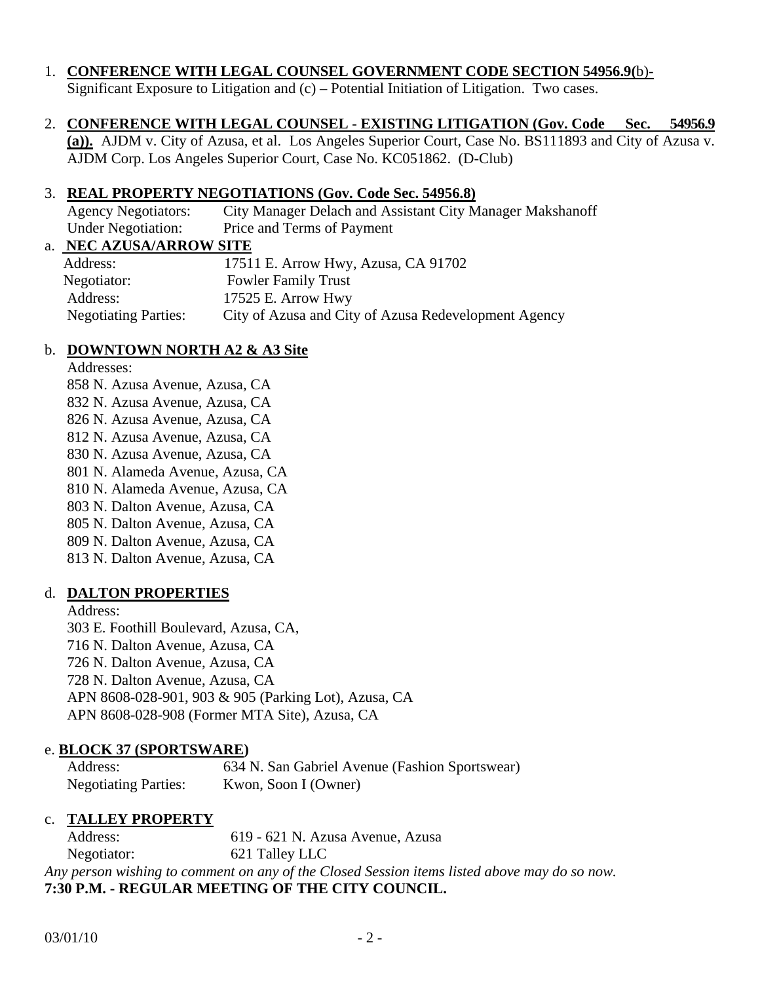# 1. **CONFERENCE WITH LEGAL COUNSEL GOVERNMENT CODE SECTION 54956.9(**b)-

Significant Exposure to Litigation and (c) – Potential Initiation of Litigation.Two cases.

# 2. **CONFERENCE WITH LEGAL COUNSEL - EXISTING LITIGATION (Gov. Code Sec. 54956.9**

**(a)).** AJDM v. City of Azusa, et al. Los Angeles Superior Court, Case No. BS111893 and City of Azusa v. AJDM Corp. Los Angeles Superior Court, Case No. KC051862. (D-Club)

#### 3. **REAL PROPERTY NEGOTIATIONS (Gov. Code Sec. 54956.8)**

 Agency Negotiators: City Manager Delach and Assistant City Manager Makshanoff Under Negotiation: Price and Terms of Payment

#### a. **NEC AZUSA/ARROW SITE**

| Address:                    | 17511 E. Arrow Hwy, Azusa, CA 91702                  |
|-----------------------------|------------------------------------------------------|
| Negotiator:                 | <b>Fowler Family Trust</b>                           |
| Address:                    | 17525 E. Arrow Hwy                                   |
| <b>Negotiating Parties:</b> | City of Azusa and City of Azusa Redevelopment Agency |

# b. **DOWNTOWN NORTH A2 & A3 Site**

#### Addresses:

 858 N. Azusa Avenue, Azusa, CA 832 N. Azusa Avenue, Azusa, CA 826 N. Azusa Avenue, Azusa, CA 812 N. Azusa Avenue, Azusa, CA 830 N. Azusa Avenue, Azusa, CA 801 N. Alameda Avenue, Azusa, CA 810 N. Alameda Avenue, Azusa, CA 803 N. Dalton Avenue, Azusa, CA 805 N. Dalton Avenue, Azusa, CA 809 N. Dalton Avenue, Azusa, CA 813 N. Dalton Avenue, Azusa, CA

# d. **DALTON PROPERTIES**

 Address: 303 E. Foothill Boulevard, Azusa, CA, 716 N. Dalton Avenue, Azusa, CA 726 N. Dalton Avenue, Azusa, CA 728 N. Dalton Avenue, Azusa, CA APN 8608-028-901, 903 & 905 (Parking Lot), Azusa, CA APN 8608-028-908 (Former MTA Site), Azusa, CA

# e. **BLOCK 37 (SPORTSWARE)**

 Address: 634 N. San Gabriel Avenue (Fashion Sportswear) Negotiating Parties: Kwon, Soon I (Owner)

# c. **TALLEY PROPERTY**

 Address: 619 - 621 N. Azusa Avenue, Azusa Negotiator: 621 Talley LLC *Any person wishing to comment on any of the Closed Session items listed above may do so now.*  **7:30 P.M. - REGULAR MEETING OF THE CITY COUNCIL.**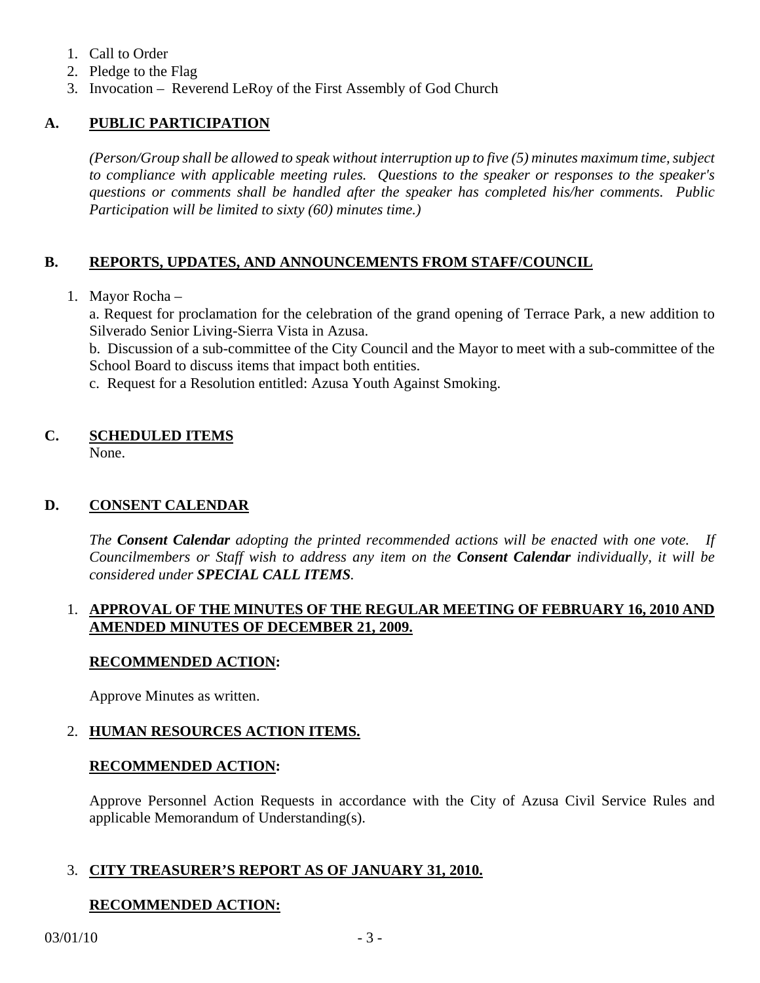- 1. Call to Order
- 2. Pledge to the Flag
- 3. Invocation Reverend LeRoy of the First Assembly of God Church

# **A. PUBLIC PARTICIPATION**

*(Person/Group shall be allowed to speak without interruption up to five (5) minutes maximum time, subject to compliance with applicable meeting rules. Questions to the speaker or responses to the speaker's questions or comments shall be handled after the speaker has completed his/her comments. Public Participation will be limited to sixty (60) minutes time.)* 

# **B. REPORTS, UPDATES, AND ANNOUNCEMENTS FROM STAFF/COUNCIL**

1. Mayor Rocha –

 a. Request for proclamation for the celebration of the grand opening of Terrace Park, a new addition to Silverado Senior Living-Sierra Vista in Azusa.

 b. Discussion of a sub-committee of the City Council and the Mayor to meet with a sub-committee of the School Board to discuss items that impact both entities.

c. Request for a Resolution entitled: Azusa Youth Against Smoking.

# **C. SCHEDULED ITEMS**

None.

# **D. CONSENT CALENDAR**

*The Consent Calendar adopting the printed recommended actions will be enacted with one vote. If Councilmembers or Staff wish to address any item on the Consent Calendar individually, it will be considered under SPECIAL CALL ITEMS.* 

# 1. **APPROVAL OF THE MINUTES OF THE REGULAR MEETING OF FEBRUARY 16, 2010 AND AMENDED MINUTES OF DECEMBER 21, 2009.**

# **RECOMMENDED ACTION:**

Approve Minutes as written.

# 2. **HUMAN RESOURCES ACTION ITEMS.**

# **RECOMMENDED ACTION:**

 Approve Personnel Action Requests in accordance with the City of Azusa Civil Service Rules and applicable Memorandum of Understanding(s).

# 3. **CITY TREASURER'S REPORT AS OF JANUARY 31, 2010.**

# **RECOMMENDED ACTION:**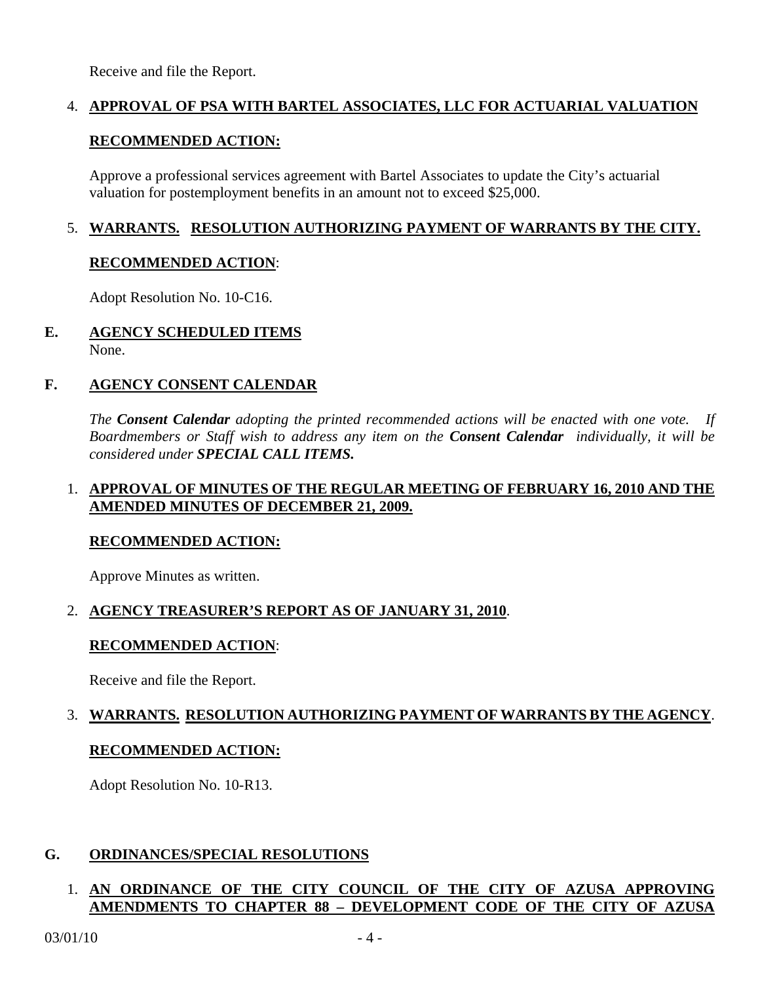Receive and file the Report.

# 4. **APPROVAL OF PSA WITH BARTEL ASSOCIATES, LLC FOR ACTUARIAL VALUATION**

#### **RECOMMENDED ACTION:**

 Approve a professional services agreement with Bartel Associates to update the City's actuarial valuation for postemployment benefits in an amount not to exceed \$25,000.

# 5. **WARRANTS. RESOLUTION AUTHORIZING PAYMENT OF WARRANTS BY THE CITY.**

#### **RECOMMENDED ACTION**:

Adopt Resolution No. 10-C16.

#### **E. AGENCY SCHEDULED ITEMS** None.

#### **F. AGENCY CONSENT CALENDAR**

 *The Consent Calendar adopting the printed recommended actions will be enacted with one vote. If Boardmembers or Staff wish to address any item on the Consent Calendar individually, it will be considered under SPECIAL CALL ITEMS.* 

#### 1. **APPROVAL OF MINUTES OF THE REGULAR MEETING OF FEBRUARY 16, 2010 AND THE AMENDED MINUTES OF DECEMBER 21, 2009.**

#### **RECOMMENDED ACTION:**

Approve Minutes as written.

# 2. **AGENCY TREASURER'S REPORT AS OF JANUARY 31, 2010**.

# **RECOMMENDED ACTION**:

Receive and file the Report.

# 3. **WARRANTS. RESOLUTION AUTHORIZING PAYMENT OF WARRANTS BY THE AGENCY**.

#### **RECOMMENDED ACTION:**

Adopt Resolution No. 10-R13.

# **G. ORDINANCES/SPECIAL RESOLUTIONS**

# 1. **AN ORDINANCE OF THE CITY COUNCIL OF THE CITY OF AZUSA APPROVING AMENDMENTS TO CHAPTER 88 – DEVELOPMENT CODE OF THE CITY OF AZUSA**